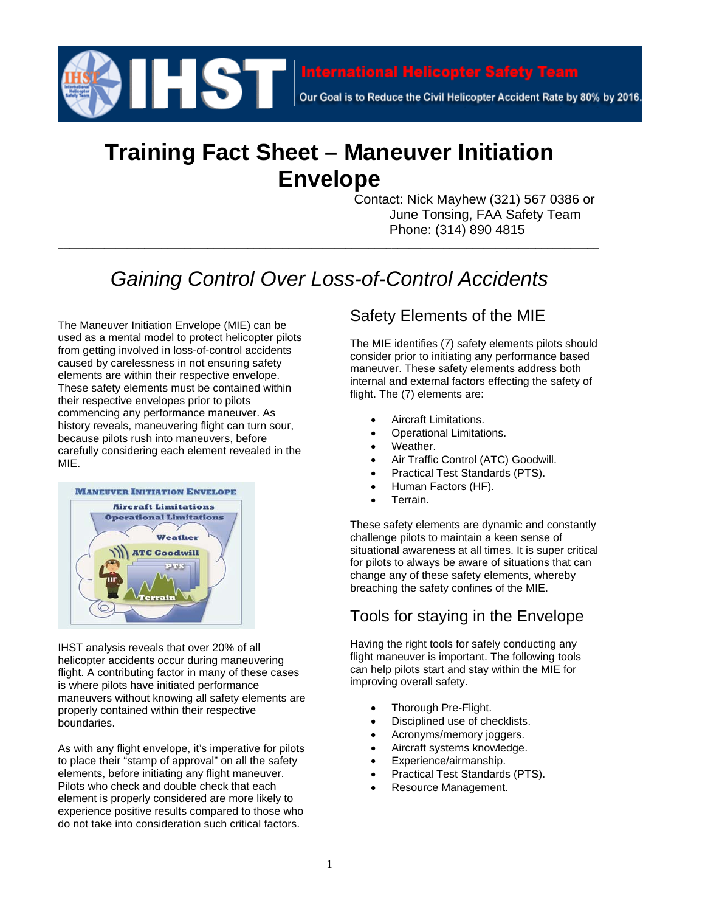

Our Goal is to Reduce the Civil Helicopter Accident Rate by 80% by 2016.

# **Training Fact Sheet – Maneuver Initiation Envelope**

Contact: Nick Mayhew (321) 567 0386 or June Tonsing, FAA Safety Team Phone: (314) 890 4815

# *Gaining Control Over Loss-of-Control Accidents*

**\_\_\_\_\_\_\_\_\_\_\_\_\_\_\_\_\_\_\_\_\_\_\_\_\_\_\_\_\_\_\_\_\_\_\_\_\_\_\_\_\_\_\_\_\_\_\_\_\_\_\_\_\_\_\_\_\_\_\_\_\_\_\_\_\_\_\_\_\_\_\_\_\_\_\_\_\_\_\_\_\_\_\_\_\_\_\_\_\_\_\_\_\_\_**

The Maneuver Initiation Envelope (MIE) can be used as a mental model to protect helicopter pilots from getting involved in loss-of-control accidents caused by carelessness in not ensuring safety elements are within their respective envelope. These safety elements must be contained within their respective envelopes prior to pilots commencing any performance maneuver. As history reveals, maneuvering flight can turn sour, because pilots rush into maneuvers, before carefully considering each element revealed in the MIE.



IHST analysis reveals that over 20% of all helicopter accidents occur during maneuvering flight. A contributing factor in many of these cases is where pilots have initiated performance maneuvers without knowing all safety elements are properly contained within their respective boundaries.

As with any flight envelope, it's imperative for pilots to place their "stamp of approval" on all the safety elements, before initiating any flight maneuver. Pilots who check and double check that each element is properly considered are more likely to experience positive results compared to those who do not take into consideration such critical factors.

### Safety Elements of the MIE

The MIE identifies (7) safety elements pilots should consider prior to initiating any performance based maneuver. These safety elements address both internal and external factors effecting the safety of flight. The (7) elements are:

- Aircraft Limitations.
- Operational Limitations.
- Weather.
- Air Traffic Control (ATC) Goodwill.
- Practical Test Standards (PTS).
- Human Factors (HF).
- Terrain.

These safety elements are dynamic and constantly challenge pilots to maintain a keen sense of situational awareness at all times. It is super critical for pilots to always be aware of situations that can change any of these safety elements, whereby breaching the safety confines of the MIE.

### Tools for staying in the Envelope

Having the right tools for safely conducting any flight maneuver is important. The following tools can help pilots start and stay within the MIE for improving overall safety.

- Thorough Pre-Flight.
- Disciplined use of checklists.
- Acronyms/memory joggers.
- Aircraft systems knowledge.
- Experience/airmanship.
- Practical Test Standards (PTS).
- Resource Management.